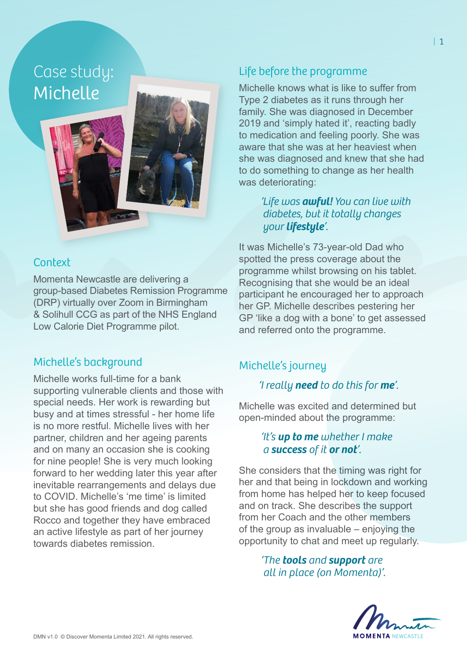Case study: Michelle



### **Context**

Momenta Newcastle are delivering a group-based Diabetes Remission Programme (DRP) virtually over Zoom in Birmingham & Solihull CCG as part of the NHS England Low Calorie Diet Programme pilot.

#### Michelle's background

Michelle works full-time for a bank supporting vulnerable clients and those with special needs. Her work is rewarding but busy and at times stressful - her home life is no more restful. Michelle lives with her partner, children and her ageing parents and on many an occasion she is cooking for nine people! She is very much looking forward to her wedding later this year after inevitable rearrangements and delays due to COVID. Michelle's 'me time' is limited but she has good friends and dog called Rocco and together they have embraced an active lifestyle as part of her journey towards diabetes remission.

# Life before the programme

Michelle knows what is like to suffer from Type 2 diabetes as it runs through her family. She was diagnosed in December 2019 and 'simply hated it', reacting badly to medication and feeling poorly. She was aware that she was at her heaviest when she was diagnosed and knew that she had to do something to change as her health was deteriorating:

> *'Life was awful! You can live with diabetes, but it totally changes your lifestyle'.*

It was Michelle's 73-year-old Dad who spotted the press coverage about the programme whilst browsing on his tablet. Recognising that she would be an ideal participant he encouraged her to approach her GP. Michelle describes pestering her GP 'like a dog with a bone' to get assessed and referred onto the programme.

### Michelle's journey

### *'I really need to do this for me'.*

Michelle was excited and determined but open-minded about the programme:

#### *'It's up to me whether I make a success of it or not'.*

She considers that the timing was right for her and that being in lockdown and working from home has helped her to keep focused and on track. She describes the support from her Coach and the other members of the group as invaluable – enjoying the opportunity to chat and meet up regularly.

> *'The tools and support are all in place (on Momenta)'.*

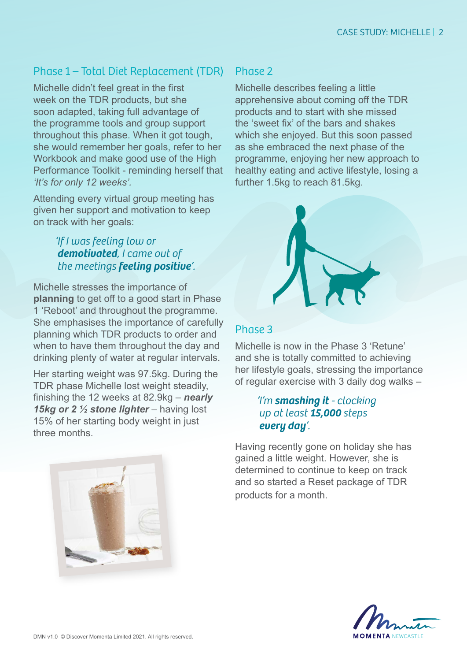# Phase 1 – Total Diet Replacement (TDR)

Michelle didn't feel great in the first week on the TDR products, but she soon adapted, taking full advantage of the programme tools and group support throughout this phase. When it got tough, she would remember her goals, refer to her Workbook and make good use of the High Performance Toolkit - reminding herself that *'It's for only 12 weeks'.*

Attending every virtual group meeting has given her support and motivation to keep on track with her goals:

### *'If I was feeling low or demotivated, I came out of the meetings feeling positive'.*

Michelle stresses the importance of **planning** to get off to a good start in Phase 1 'Reboot' and throughout the programme. She emphasises the importance of carefully planning which TDR products to order and when to have them throughout the day and drinking plenty of water at regular intervals.

Her starting weight was 97.5kg. During the TDR phase Michelle lost weight steadily, finishing the 12 weeks at 82.9kg – *nearly 15kg or 2 ½ stone lighter* – having lost 15% of her starting body weight in just three months.



### Phase 2

Michelle describes feeling a little apprehensive about coming off the TDR products and to start with she missed the 'sweet fix' of the bars and shakes which she enjoyed. But this soon passed as she embraced the next phase of the programme, enjoying her new approach to healthy eating and active lifestyle, losing a further 1.5kg to reach 81.5kg.



#### Phase 3

Michelle is now in the Phase 3 'Retune' and she is totally committed to achieving her lifestyle goals, stressing the importance of regular exercise with 3 daily dog walks –

#### *'I'm smashing it - clocking up at least 15,000 steps every day'.*

Having recently gone on holiday she has gained a little weight. However, she is determined to continue to keep on track and so started a Reset package of TDR products for a month.